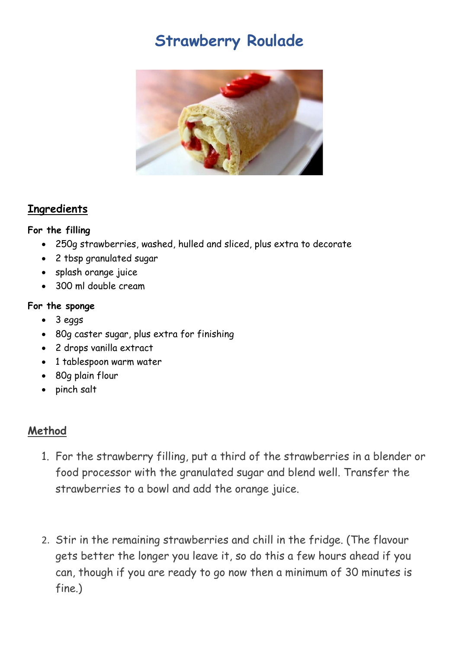# **Strawberry Roulade**



# **Ingredients**

### **For the filling**

- 250g [strawberries,](https://www.bbc.co.uk/food/strawberry) washed, hulled and sliced, plus extra to decorate
- 2 tbsp granulated [sugar](https://www.bbc.co.uk/food/sugar)
- splash [orange juice](https://www.bbc.co.uk/food/orange_juice)
- 300 ml double cream

### **For the sponge**

- 3 [eggs](https://www.bbc.co.uk/food/egg)
- 80g [caster sugar,](https://www.bbc.co.uk/food/caster_sugar) plus extra for finishing
- 2 drops [vanilla extract](https://www.bbc.co.uk/food/vanilla_extract)
- 1 tablespoon warm water
- 80g [plain flour](https://www.bbc.co.uk/food/plain_flour)
- pinch [salt](https://www.bbc.co.uk/food/salt)

# **Method**

- 1. For the strawberry filling, put a third of the strawberries in a blender or food processor with the granulated sugar and blend well. Transfer the strawberries to a bowl and add the orange juice.
- 2. Stir in the remaining strawberries and chill in the fridge. (The flavour gets better the longer you leave it, so do this a few hours ahead if you can, though if you are ready to go now then a minimum of 30 minutes is fine.)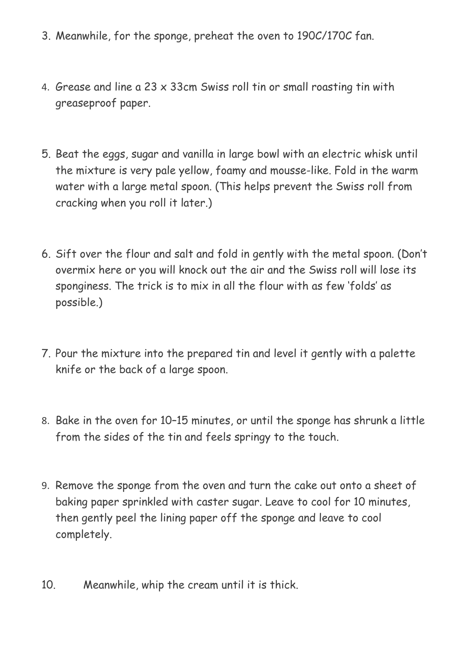- 3. Meanwhile, for the sponge, preheat the oven to 190C/170C fan.
- 4. Grease and line a 23 x 33cm Swiss roll tin or small roasting tin with greaseproof paper.
- 5. Beat the eggs, sugar and vanilla in large bowl with an electric whisk until the mixture is very pale yellow, foamy and mousse-like. Fold in the warm water with a large metal spoon. (This helps prevent the Swiss roll from cracking when you roll it later.)
- 6. Sift over the flour and salt and fold in gently with the metal spoon. (Don't overmix here or you will knock out the air and the Swiss roll will lose its sponginess. The trick is to mix in all the flour with as few 'folds' as possible.)
- 7. Pour the mixture into the prepared tin and level it gently with a palette knife or the back of a large spoon.
- 8. Bake in the oven for 10–15 minutes, or until the sponge has shrunk a little from the sides of the tin and feels springy to the touch.
- 9. Remove the sponge from the oven and turn the cake out onto a sheet of baking paper sprinkled with caster sugar. Leave to cool for 10 minutes, then gently peel the lining paper off the sponge and leave to cool completely.
- 10. Meanwhile, whip the cream until it is thick.